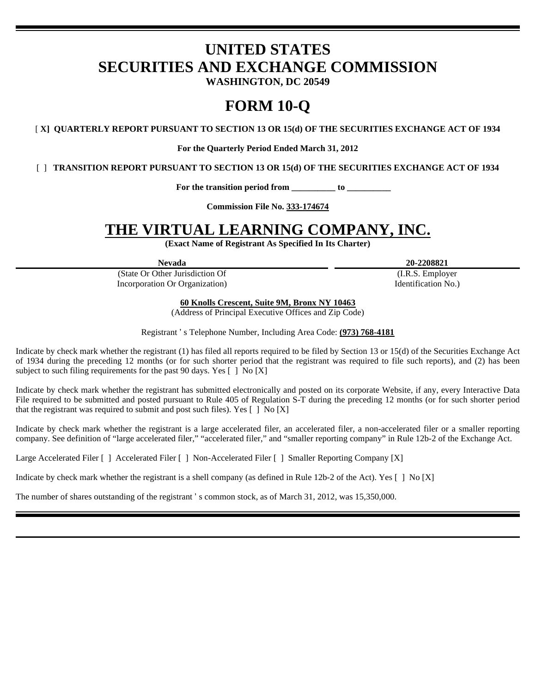# **UNITED STATES SECURITIES AND EXCHANGE COMMISSION**

**WASHINGTON, DC 20549** 

## **FORM 10-Q**

[ **X] QUARTERLY REPORT PURSUANT TO SECTION 13 OR 15(d) OF THE SECURITIES EXCHANGE ACT OF 1934** 

**For the Quarterly Period Ended March 31, 2012** 

[ ] **TRANSITION REPORT PURSUANT TO SECTION 13 OR 15(d) OF THE SECURITIES EXCHANGE ACT OF 1934** 

**For the transition period from \_\_\_\_\_\_\_\_\_\_ to \_\_\_\_\_\_\_\_\_\_** 

**Commission File No. 333-174674** 

## **THE VIRTUAL LEARNING COMPANY, INC.**

**(Exact Name of Registrant As Specified In Its Charter)** 

(State Or Other Jurisdiction Of Incorporation Or Organization)

**Nevada 20-2208821** 

 (I.R.S. Employer Identification No.)

**60 Knolls Crescent, Suite 9M, Bronx NY 10463** 

(Address of Principal Executive Offices and Zip Code)

Registrant ' s Telephone Number, Including Area Code: **(973) 768-4181** 

Indicate by check mark whether the registrant (1) has filed all reports required to be filed by Section 13 or 15(d) of the Securities Exchange Act of 1934 during the preceding 12 months (or for such shorter period that the registrant was required to file such reports), and (2) has been subject to such filing requirements for the past 90 days. Yes  $\lceil \cdot \rceil$  No  $\lceil X \rceil$ 

Indicate by check mark whether the registrant has submitted electronically and posted on its corporate Website, if any, every Interactive Data File required to be submitted and posted pursuant to Rule 405 of Regulation S-T during the preceding 12 months (or for such shorter period that the registrant was required to submit and post such files). Yes  $\lceil \cdot \rceil$  No  $\lceil X \rceil$ 

Indicate by check mark whether the registrant is a large accelerated filer, an accelerated filer, a non-accelerated filer or a smaller reporting company. See definition of "large accelerated filer," "accelerated filer," and "smaller reporting company" in Rule 12b-2 of the Exchange Act.

Large Accelerated Filer [ ] Accelerated Filer [ ] Non-Accelerated Filer [ ] Smaller Reporting Company [X]

Indicate by check mark whether the registrant is a shell company (as defined in Rule 12b-2 of the Act). Yes  $\lceil \ \rceil$  No  $\lceil X \rceil$ 

The number of shares outstanding of the registrant ' s common stock, as of March 31, 2012, was 15,350,000.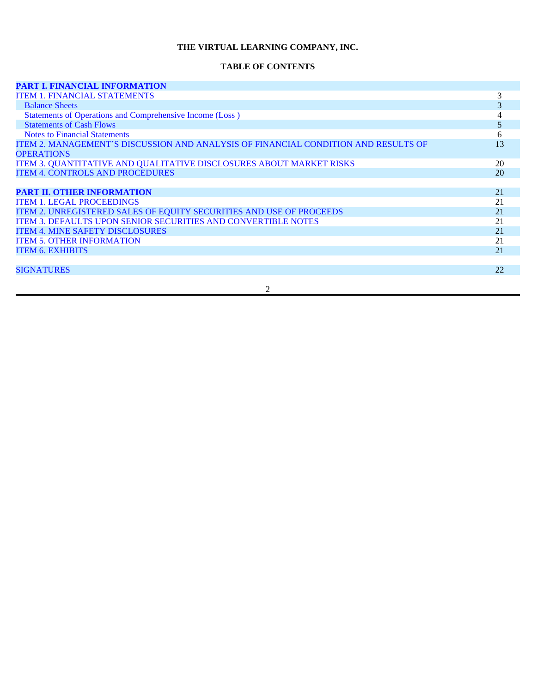## **THE VIRTUAL LEARNING COMPANY, INC.**

#### **TABLE OF CONTENTS**

| <b>PART I. FINANCIAL INFORMATION</b>                                               |    |
|------------------------------------------------------------------------------------|----|
| <b>ITEM 1. FINANCIAL STATEMENTS</b>                                                | 3  |
| <b>Balance Sheets</b>                                                              | 3  |
| Statements of Operations and Comprehensive Income (Loss)                           |    |
| <b>Statements of Cash Flows</b>                                                    | 5  |
| <b>Notes to Financial Statements</b>                                               | 6  |
| ITEM 2. MANAGEMENT'S DISCUSSION AND ANALYSIS OF FINANCIAL CONDITION AND RESULTS OF | 13 |
| <b>OPERATIONS</b>                                                                  |    |
| ITEM 3. QUANTITATIVE AND QUALITATIVE DISCLOSURES ABOUT MARKET RISKS                | 20 |
| <b>ITEM 4. CONTROLS AND PROCEDURES</b>                                             | 20 |
|                                                                                    |    |
| <b>PART II. OTHER INFORMATION</b>                                                  | 21 |
| <b>ITEM 1. LEGAL PROCEEDINGS</b>                                                   | 21 |
| ITEM 2. UNREGISTERED SALES OF EQUITY SECURITIES AND USE OF PROCEEDS                | 21 |
| <b>ITEM 3. DEFAULTS UPON SENIOR SECURITIES AND CONVERTIBLE NOTES</b>               | 21 |
| <b>ITEM 4. MINE SAFETY DISCLOSURES</b>                                             | 21 |
| <b>ITEM 5. OTHER INFORMATION</b>                                                   | 21 |
| <b>ITEM 6. EXHIBITS</b>                                                            | 21 |
|                                                                                    |    |
| <b>SIGNATURES</b>                                                                  | 22 |
|                                                                                    |    |
| $\overline{c}$                                                                     |    |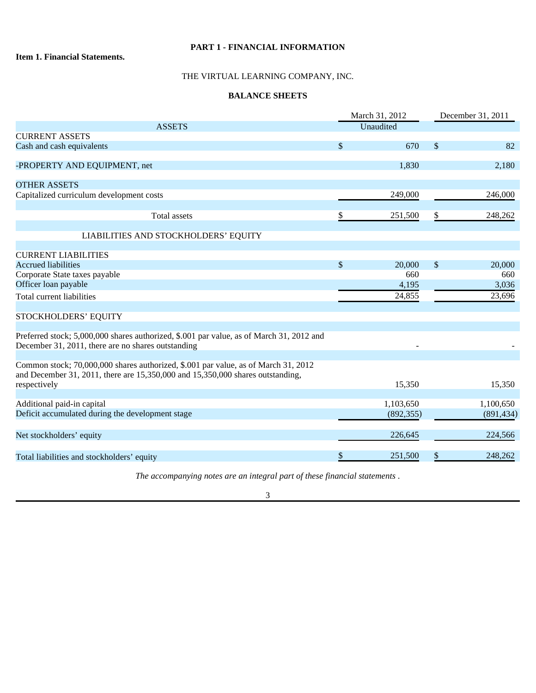## **PART 1 - FINANCIAL INFORMATION**

## **Item 1. Financial Statements.**

## THE VIRTUAL LEARNING COMPANY, INC.

## **BALANCE SHEETS**

|                                                                                                                                                                      | March 31, 2012 |            | December 31, 2011 |            |
|----------------------------------------------------------------------------------------------------------------------------------------------------------------------|----------------|------------|-------------------|------------|
| <b>ASSETS</b>                                                                                                                                                        | Unaudited      |            |                   |            |
| <b>CURRENT ASSETS</b>                                                                                                                                                |                |            |                   |            |
| Cash and cash equivalents                                                                                                                                            | \$             | 670        | \$                | 82         |
| -PROPERTY AND EQUIPMENT, net                                                                                                                                         |                | 1,830      |                   | 2,180      |
| <b>OTHER ASSETS</b>                                                                                                                                                  |                |            |                   |            |
| Capitalized curriculum development costs                                                                                                                             |                | 249,000    |                   | 246,000    |
| <b>Total assets</b>                                                                                                                                                  | \$             | 251,500    | \$                | 248,262    |
| LIABILITIES AND STOCKHOLDERS' EQUITY                                                                                                                                 |                |            |                   |            |
| <b>CURRENT LIABILITIES</b>                                                                                                                                           |                |            |                   |            |
| <b>Accrued liabilities</b>                                                                                                                                           | $\mathcal{S}$  | 20,000     | \$                | 20,000     |
| Corporate State taxes payable                                                                                                                                        |                | 660        |                   | 660        |
| Officer loan payable                                                                                                                                                 |                | 4,195      |                   | 3,036      |
| Total current liabilities                                                                                                                                            |                | 24,855     |                   | 23,696     |
| STOCKHOLDERS' EQUITY                                                                                                                                                 |                |            |                   |            |
| Preferred stock; 5,000,000 shares authorized, \$.001 par value, as of March 31, 2012 and<br>December 31, 2011, there are no shares outstanding                       |                |            |                   |            |
| Common stock; 70,000,000 shares authorized, \$.001 par value, as of March 31, 2012<br>and December 31, 2011, there are 15,350,000 and 15,350,000 shares outstanding, |                |            |                   |            |
| respectively                                                                                                                                                         |                | 15,350     |                   | 15,350     |
| Additional paid-in capital                                                                                                                                           |                | 1,103,650  |                   | 1,100,650  |
| Deficit accumulated during the development stage                                                                                                                     |                | (892, 355) |                   | (891, 434) |
| Net stockholders' equity                                                                                                                                             |                | 226,645    |                   | 224,566    |
| Total liabilities and stockholders' equity                                                                                                                           | \$             | 251,500    | \$                | 248,262    |

*The accompanying notes are an integral part of these financial statements* .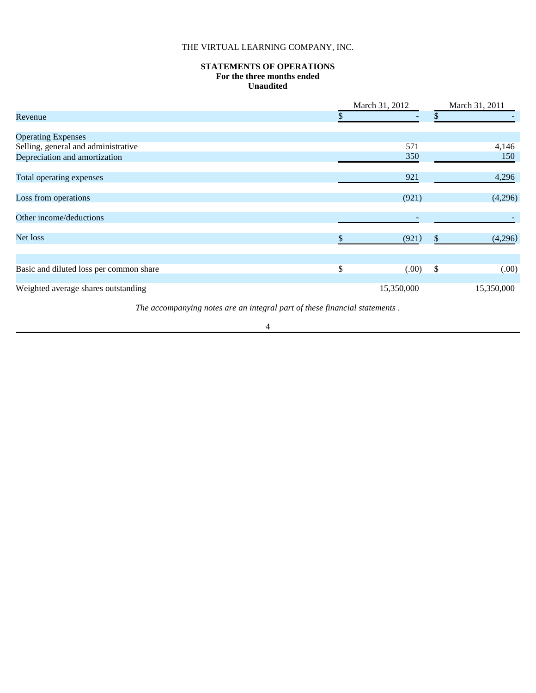## THE VIRTUAL LEARNING COMPANY, INC.

## **STATEMENTS OF OPERATIONS For the three months ended Unaudited**

|                                         | March 31, 2012 |            | March 31, 2011 |            |
|-----------------------------------------|----------------|------------|----------------|------------|
| Revenue                                 |                |            | J)             |            |
| <b>Operating Expenses</b>               |                |            |                |            |
| Selling, general and administrative     |                | 571        |                | 4,146      |
| Depreciation and amortization           |                | 350        |                | 150        |
| Total operating expenses                |                | 921        |                | 4,296      |
| Loss from operations                    |                | (921)      |                | (4,296)    |
| Other income/deductions                 |                |            |                |            |
| Net loss                                |                | (921)      | S              | (4,296)    |
| Basic and diluted loss per common share | \$             | (0.00)     | \$             | (00)       |
|                                         |                |            |                |            |
| Weighted average shares outstanding     |                | 15,350,000 |                | 15,350,000 |

*The accompanying notes are an integral part of these financial statements* .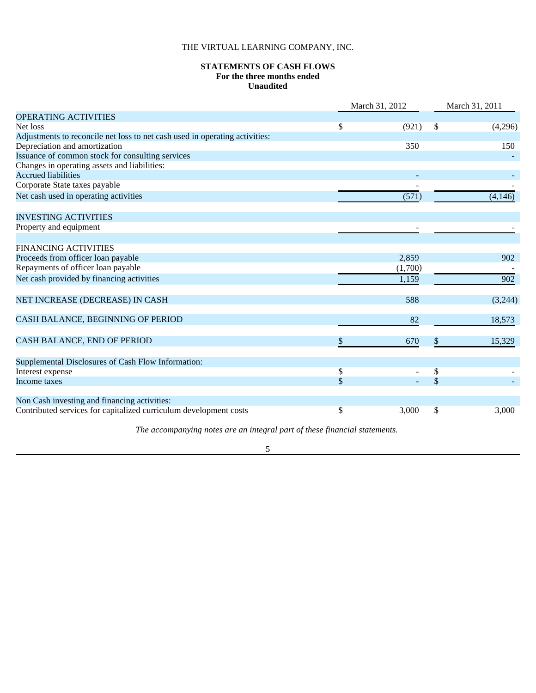## THE VIRTUAL LEARNING COMPANY, INC.

## **STATEMENTS OF CASH FLOWS For the three months ended Unaudited**

|                                                                             |      | March 31, 2012 |    | March 31, 2011 |  |
|-----------------------------------------------------------------------------|------|----------------|----|----------------|--|
| <b>OPERATING ACTIVITIES</b>                                                 |      |                |    |                |  |
| Net loss                                                                    | \$   | (921)          | \$ | (4,296)        |  |
| Adjustments to reconcile net loss to net cash used in operating activities: |      |                |    |                |  |
| Depreciation and amortization                                               |      | 350            |    | 150            |  |
| Issuance of common stock for consulting services                            |      |                |    |                |  |
| Changes in operating assets and liabilities:                                |      |                |    |                |  |
| <b>Accrued liabilities</b>                                                  |      |                |    |                |  |
| Corporate State taxes payable                                               |      |                |    |                |  |
| Net cash used in operating activities                                       |      | (571)          |    | (4, 146)       |  |
| <b>INVESTING ACTIVITIES</b>                                                 |      |                |    |                |  |
| Property and equipment                                                      |      |                |    |                |  |
| <b>FINANCING ACTIVITIES</b>                                                 |      |                |    |                |  |
| Proceeds from officer loan payable                                          |      | 2.859          |    | 902            |  |
| Repayments of officer loan payable                                          |      | (1,700)        |    |                |  |
| Net cash provided by financing activities                                   |      | 1,159          |    | 902            |  |
| NET INCREASE (DECREASE) IN CASH                                             |      | 588            |    | (3,244)        |  |
|                                                                             |      |                |    |                |  |
| CASH BALANCE, BEGINNING OF PERIOD                                           |      | 82             |    | 18,573         |  |
| CASH BALANCE, END OF PERIOD                                                 | \$   | 670            | \$ | 15,329         |  |
| Supplemental Disclosures of Cash Flow Information:                          |      |                |    |                |  |
| Interest expense                                                            | $\$$ |                | \$ |                |  |
| Income taxes                                                                | \$   |                | \$ |                |  |
| Non Cash investing and financing activities:                                |      |                |    |                |  |
| Contributed services for capitalized curriculum development costs           | \$   | 3,000          | \$ | 3,000          |  |

*The accompanying notes are an integral part of these financial statements.*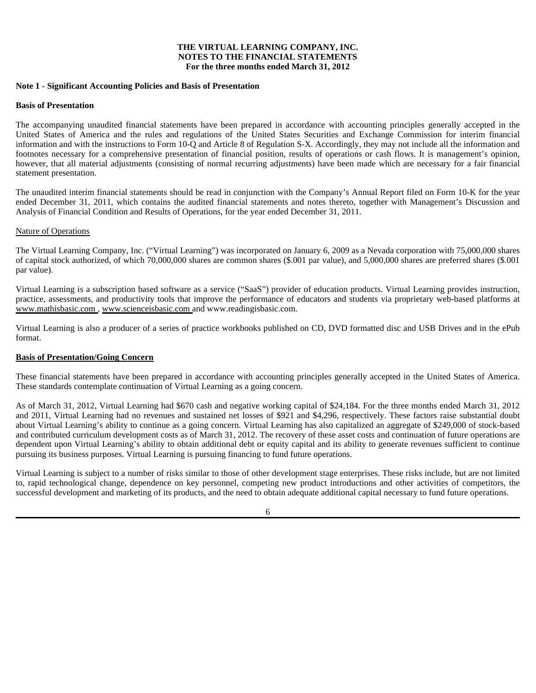## **THE VIRTUAL LEARNING COMPANY, INC. NOTES TO THE FINANCIAL STATEMENTS For the three months ended March 31, 2012**

## **Note 1 - Significant Accounting Policies and Basis of Presentation**

#### **Basis of Presentation**

The accompanying unaudited financial statements have been prepared in accordance with accounting principles generally accepted in the United States of America and the rules and regulations of the United States Securities and Exchange Commission for interim financial information and with the instructions to Form 10-Q and Article 8 of Regulation S-X. Accordingly, they may not include all the information and footnotes necessary for a comprehensive presentation of financial position, results of operations or cash flows. It is management's opinion, however, that all material adjustments (consisting of normal recurring adjustments) have been made which are necessary for a fair financial statement presentation.

The unaudited interim financial statements should be read in conjunction with the Company's Annual Report filed on Form 10-K for the year ended December 31, 2011, which contains the audited financial statements and notes thereto, together with Management's Discussion and Analysis of Financial Condition and Results of Operations, for the year ended December 31, 2011.

## Nature of Operations

The Virtual Learning Company, Inc. ("Virtual Learning") was incorporated on January 6, 2009 as a Nevada corporation with 75,000,000 shares of capital stock authorized, of which 70,000,000 shares are common shares (\$.001 par value), and 5,000,000 shares are preferred shares (\$.001 par value).

Virtual Learning is a subscription based software as a service ("SaaS") provider of education products. Virtual Learning provides instruction, practice, assessments, and productivity tools that improve the performance of educators and students via proprietary web-based platforms at www.mathisbasic.com , www.scienceisbasic.com and www.readingisbasic.com.

Virtual Learning is also a producer of a series of practice workbooks published on CD, DVD formatted disc and USB Drives and in the ePub format.

#### **Basis of Presentation/Going Concern**

These financial statements have been prepared in accordance with accounting principles generally accepted in the United States of America. These standards contemplate continuation of Virtual Learning as a going concern.

As of March 31, 2012, Virtual Learning had \$670 cash and negative working capital of \$24,184. For the three months ended March 31, 2012 and 2011, Virtual Learning had no revenues and sustained net losses of \$921 and \$4,296, respectively. These factors raise substantial doubt about Virtual Learning's ability to continue as a going concern. Virtual Learning has also capitalized an aggregate of \$249,000 of stock-based and contributed curriculum development costs as of March 31, 2012. The recovery of these asset costs and continuation of future operations are dependent upon Virtual Learning's ability to obtain additional debt or equity capital and its ability to generate revenues sufficient to continue pursuing its business purposes. Virtual Learning is pursuing financing to fund future operations.

Virtual Learning is subject to a number of risks similar to those of other development stage enterprises. These risks include, but are not limited to, rapid technological change, dependence on key personnel, competing new product introductions and other activities of competitors, the successful development and marketing of its products, and the need to obtain adequate additional capital necessary to fund future operations.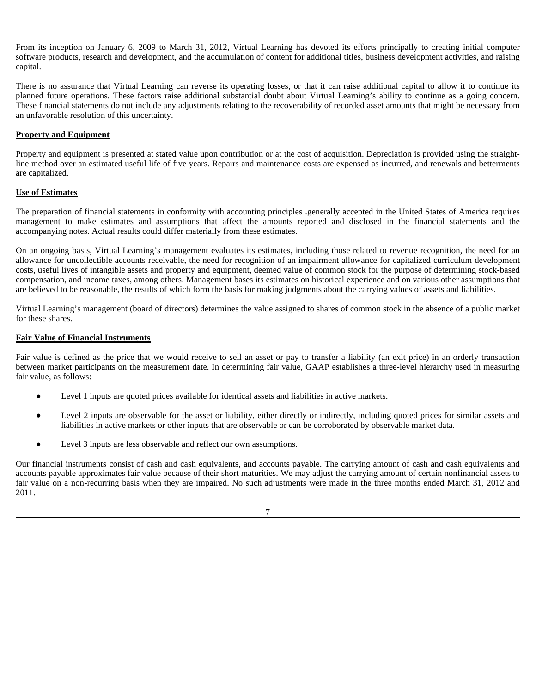From its inception on January 6, 2009 to March 31, 2012, Virtual Learning has devoted its efforts principally to creating initial computer software products, research and development, and the accumulation of content for additional titles, business development activities, and raising capital.

There is no assurance that Virtual Learning can reverse its operating losses, or that it can raise additional capital to allow it to continue its planned future operations. These factors raise additional substantial doubt about Virtual Learning's ability to continue as a going concern. These financial statements do not include any adjustments relating to the recoverability of recorded asset amounts that might be necessary from an unfavorable resolution of this uncertainty.

## **Property and Equipment**

Property and equipment is presented at stated value upon contribution or at the cost of acquisition. Depreciation is provided using the straightline method over an estimated useful life of five years. Repairs and maintenance costs are expensed as incurred, and renewals and betterments are capitalized.

## **Use of Estimates**

The preparation of financial statements in conformity with accounting principles .generally accepted in the United States of America requires management to make estimates and assumptions that affect the amounts reported and disclosed in the financial statements and the accompanying notes. Actual results could differ materially from these estimates.

On an ongoing basis, Virtual Learning's management evaluates its estimates, including those related to revenue recognition, the need for an allowance for uncollectible accounts receivable, the need for recognition of an impairment allowance for capitalized curriculum development costs, useful lives of intangible assets and property and equipment, deemed value of common stock for the purpose of determining stock-based compensation, and income taxes, among others. Management bases its estimates on historical experience and on various other assumptions that are believed to be reasonable, the results of which form the basis for making judgments about the carrying values of assets and liabilities.

Virtual Learning's management (board of directors) determines the value assigned to shares of common stock in the absence of a public market for these shares.

#### **Fair Value of Financial Instruments**

Fair value is defined as the price that we would receive to sell an asset or pay to transfer a liability (an exit price) in an orderly transaction between market participants on the measurement date. In determining fair value, GAAP establishes a three-level hierarchy used in measuring fair value, as follows:

- Level 1 inputs are quoted prices available for identical assets and liabilities in active markets.
- Level 2 inputs are observable for the asset or liability, either directly or indirectly, including quoted prices for similar assets and liabilities in active markets or other inputs that are observable or can be corroborated by observable market data.
- Level 3 inputs are less observable and reflect our own assumptions.

Our financial instruments consist of cash and cash equivalents, and accounts payable. The carrying amount of cash and cash equivalents and accounts payable approximates fair value because of their short maturities. We may adjust the carrying amount of certain nonfinancial assets to fair value on a non-recurring basis when they are impaired. No such adjustments were made in the three months ended March 31, 2012 and 2011.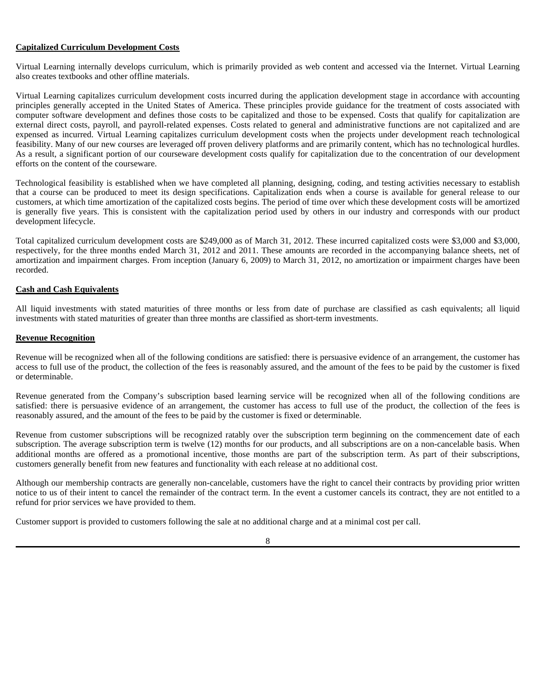## **Capitalized Curriculum Development Costs**

Virtual Learning internally develops curriculum, which is primarily provided as web content and accessed via the Internet. Virtual Learning also creates textbooks and other offline materials.

Virtual Learning capitalizes curriculum development costs incurred during the application development stage in accordance with accounting principles generally accepted in the United States of America. These principles provide guidance for the treatment of costs associated with computer software development and defines those costs to be capitalized and those to be expensed. Costs that qualify for capitalization are external direct costs, payroll, and payroll-related expenses. Costs related to general and administrative functions are not capitalized and are expensed as incurred. Virtual Learning capitalizes curriculum development costs when the projects under development reach technological feasibility. Many of our new courses are leveraged off proven delivery platforms and are primarily content, which has no technological hurdles. As a result, a significant portion of our courseware development costs qualify for capitalization due to the concentration of our development efforts on the content of the courseware.

Technological feasibility is established when we have completed all planning, designing, coding, and testing activities necessary to establish that a course can be produced to meet its design specifications. Capitalization ends when a course is available for general release to our customers, at which time amortization of the capitalized costs begins. The period of time over which these development costs will be amortized is generally five years. This is consistent with the capitalization period used by others in our industry and corresponds with our product development lifecycle.

Total capitalized curriculum development costs are \$249,000 as of March 31, 2012. These incurred capitalized costs were \$3,000 and \$3,000, respectively, for the three months ended March 31, 2012 and 2011. These amounts are recorded in the accompanying balance sheets, net of amortization and impairment charges. From inception (January 6, 2009) to March 31, 2012, no amortization or impairment charges have been recorded.

## **Cash and Cash Equivalents**

All liquid investments with stated maturities of three months or less from date of purchase are classified as cash equivalents; all liquid investments with stated maturities of greater than three months are classified as short-term investments.

## **Revenue Recognition**

Revenue will be recognized when all of the following conditions are satisfied: there is persuasive evidence of an arrangement, the customer has access to full use of the product, the collection of the fees is reasonably assured, and the amount of the fees to be paid by the customer is fixed or determinable.

Revenue generated from the Company's subscription based learning service will be recognized when all of the following conditions are satisfied: there is persuasive evidence of an arrangement, the customer has access to full use of the product, the collection of the fees is reasonably assured, and the amount of the fees to be paid by the customer is fixed or determinable.

Revenue from customer subscriptions will be recognized ratably over the subscription term beginning on the commencement date of each subscription. The average subscription term is twelve (12) months for our products, and all subscriptions are on a non-cancelable basis. When additional months are offered as a promotional incentive, those months are part of the subscription term. As part of their subscriptions, customers generally benefit from new features and functionality with each release at no additional cost.

Although our membership contracts are generally non-cancelable, customers have the right to cancel their contracts by providing prior written notice to us of their intent to cancel the remainder of the contract term. In the event a customer cancels its contract, they are not entitled to a refund for prior services we have provided to them.

Customer support is provided to customers following the sale at no additional charge and at a minimal cost per call.

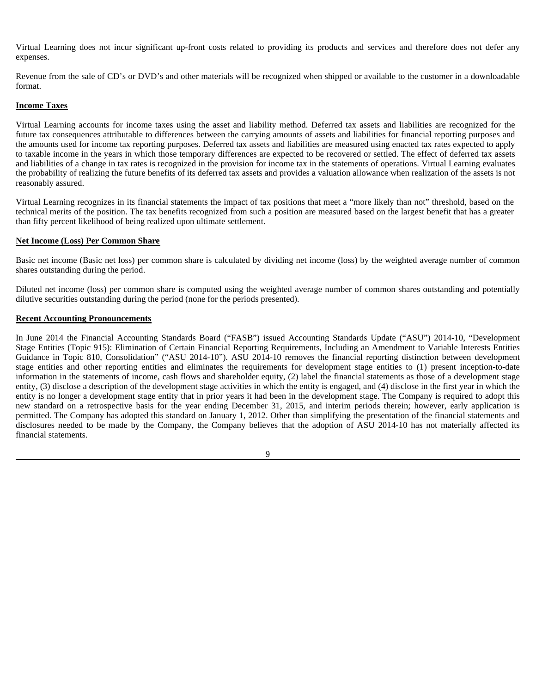Virtual Learning does not incur significant up-front costs related to providing its products and services and therefore does not defer any expenses.

Revenue from the sale of CD's or DVD's and other materials will be recognized when shipped or available to the customer in a downloadable format.

## **Income Taxes**

Virtual Learning accounts for income taxes using the asset and liability method. Deferred tax assets and liabilities are recognized for the future tax consequences attributable to differences between the carrying amounts of assets and liabilities for financial reporting purposes and the amounts used for income tax reporting purposes. Deferred tax assets and liabilities are measured using enacted tax rates expected to apply to taxable income in the years in which those temporary differences are expected to be recovered or settled. The effect of deferred tax assets and liabilities of a change in tax rates is recognized in the provision for income tax in the statements of operations. Virtual Learning evaluates the probability of realizing the future benefits of its deferred tax assets and provides a valuation allowance when realization of the assets is not reasonably assured.

Virtual Learning recognizes in its financial statements the impact of tax positions that meet a "more likely than not" threshold, based on the technical merits of the position. The tax benefits recognized from such a position are measured based on the largest benefit that has a greater than fifty percent likelihood of being realized upon ultimate settlement.

## **Net Income (Loss) Per Common Share**

Basic net income (Basic net loss) per common share is calculated by dividing net income (loss) by the weighted average number of common shares outstanding during the period.

Diluted net income (loss) per common share is computed using the weighted average number of common shares outstanding and potentially dilutive securities outstanding during the period (none for the periods presented).

## **Recent Accounting Pronouncements**

In June 2014 the Financial Accounting Standards Board ("FASB") issued Accounting Standards Update ("ASU") 2014-10, "Development Stage Entities (Topic 915): Elimination of Certain Financial Reporting Requirements, Including an Amendment to Variable Interests Entities Guidance in Topic 810, Consolidation" ("ASU 2014-10"). ASU 2014-10 removes the financial reporting distinction between development stage entities and other reporting entities and eliminates the requirements for development stage entities to (1) present inception-to-date information in the statements of income, cash flows and shareholder equity, (2) label the financial statements as those of a development stage entity, (3) disclose a description of the development stage activities in which the entity is engaged, and (4) disclose in the first year in which the entity is no longer a development stage entity that in prior years it had been in the development stage. The Company is required to adopt this new standard on a retrospective basis for the year ending December 31, 2015, and interim periods therein; however, early application is permitted. The Company has adopted this standard on January 1, 2012. Other than simplifying the presentation of the financial statements and disclosures needed to be made by the Company, the Company believes that the adoption of ASU 2014-10 has not materially affected its financial statements.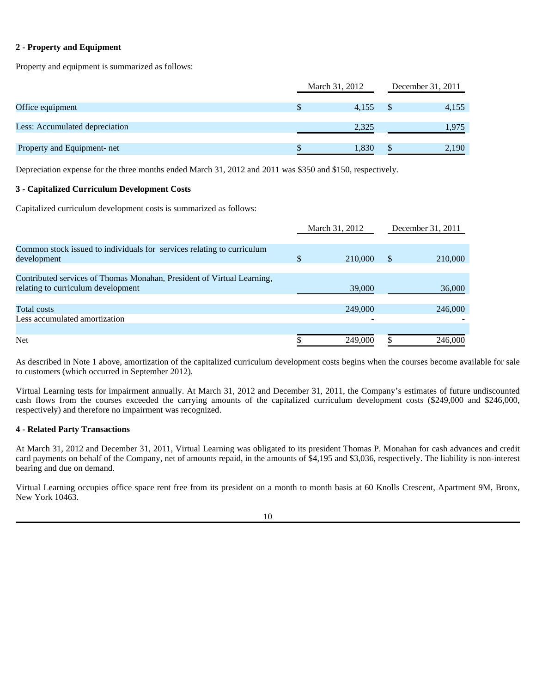## **2 - Property and Equipment**

Property and equipment is summarized as follows:

| December 31, 2011 |  |
|-------------------|--|
|                   |  |
| 4,155             |  |
|                   |  |
| 1.975             |  |
|                   |  |
| 2.190             |  |
|                   |  |

Depreciation expense for the three months ended March 31, 2012 and 2011 was \$350 and \$150, respectively.

## **3 - Capitalized Curriculum Development Costs**

Capitalized curriculum development costs is summarized as follows:

|                                                                                                              |    | March 31, 2012 | December 31, 2011 |         |
|--------------------------------------------------------------------------------------------------------------|----|----------------|-------------------|---------|
| Common stock issued to individuals for services relating to curriculum<br>development                        | \$ | 210,000        | <sup>\$</sup>     | 210,000 |
| Contributed services of Thomas Monahan, President of Virtual Learning,<br>relating to curriculum development |    | 39,000         |                   | 36,000  |
| Total costs<br>Less accumulated amortization                                                                 |    | 249,000        |                   | 246,000 |
| Net                                                                                                          |    | 249,000        |                   | 246,000 |

As described in Note 1 above, amortization of the capitalized curriculum development costs begins when the courses become available for sale to customers (which occurred in September 2012).

Virtual Learning tests for impairment annually. At March 31, 2012 and December 31, 2011, the Company's estimates of future undiscounted cash flows from the courses exceeded the carrying amounts of the capitalized curriculum development costs (\$249,000 and \$246,000, respectively) and therefore no impairment was recognized.

## **4 - Related Party Transactions**

At March 31, 2012 and December 31, 2011, Virtual Learning was obligated to its president Thomas P. Monahan for cash advances and credit card payments on behalf of the Company, net of amounts repaid, in the amounts of \$4,195 and \$3,036, respectively. The liability is non-interest bearing and due on demand.

Virtual Learning occupies office space rent free from its president on a month to month basis at 60 Knolls Crescent, Apartment 9M, Bronx, New York 10463.

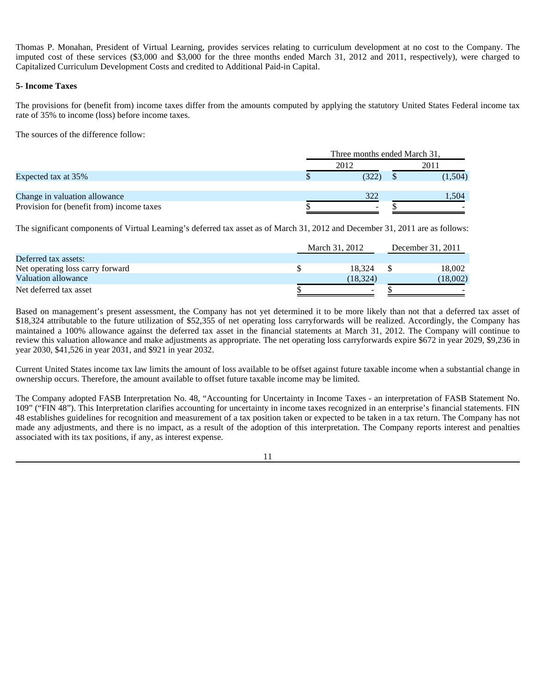Thomas P. Monahan, President of Virtual Learning, provides services relating to curriculum development at no cost to the Company. The imputed cost of these services (\$3,000 and \$3,000 for the three months ended March 31, 2012 and 2011, respectively), were charged to Capitalized Curriculum Development Costs and credited to Additional Paid-in Capital.

## **5- Income Taxes**

The provisions for (benefit from) income taxes differ from the amounts computed by applying the statutory United States Federal income tax rate of 35% to income (loss) before income taxes.

The sources of the difference follow:

|                                           | Three months ended March 31, |  |         |
|-------------------------------------------|------------------------------|--|---------|
|                                           | 2012                         |  | 2011    |
| Expected tax at 35%                       | (322                         |  | (1,504) |
| Change in valuation allowance             | 322                          |  | 1.504   |
| Provision for (benefit from) income taxes | $\overline{\phantom{a}}$     |  |         |

The significant components of Virtual Learning's deferred tax asset as of March 31, 2012 and December 31, 2011 are as follows:

|                                  | March 31, 2012 |           | December 31, 2011 |          |
|----------------------------------|----------------|-----------|-------------------|----------|
| Deferred tax assets:             |                |           |                   |          |
| Net operating loss carry forward |                | 18.324    |                   | 18.002   |
| Valuation allowance              |                | (18, 324) |                   | (18.002) |
| Net deferred tax asset           |                | $\sim$    |                   |          |

Based on management's present assessment, the Company has not yet determined it to be more likely than not that a deferred tax asset of \$18,324 attributable to the future utilization of \$52,355 of net operating loss carryforwards will be realized. Accordingly, the Company has maintained a 100% allowance against the deferred tax asset in the financial statements at March 31, 2012. The Company will continue to review this valuation allowance and make adjustments as appropriate. The net operating loss carryforwards expire \$672 in year 2029, \$9,236 in year 2030, \$41,526 in year 2031, and \$921 in year 2032.

Current United States income tax law limits the amount of loss available to be offset against future taxable income when a substantial change in ownership occurs. Therefore, the amount available to offset future taxable income may be limited.

The Company adopted FASB Interpretation No. 48, "Accounting for Uncertainty in Income Taxes - an interpretation of FASB Statement No. 109" ("FIN 48"). This Interpretation clarifies accounting for uncertainty in income taxes recognized in an enterprise's financial statements. FIN 48 establishes guidelines for recognition and measurement of a tax position taken or expected to be taken in a tax return. The Company has not made any adjustments, and there is no impact, as a result of the adoption of this interpretation. The Company reports interest and penalties associated with its tax positions, if any, as interest expense.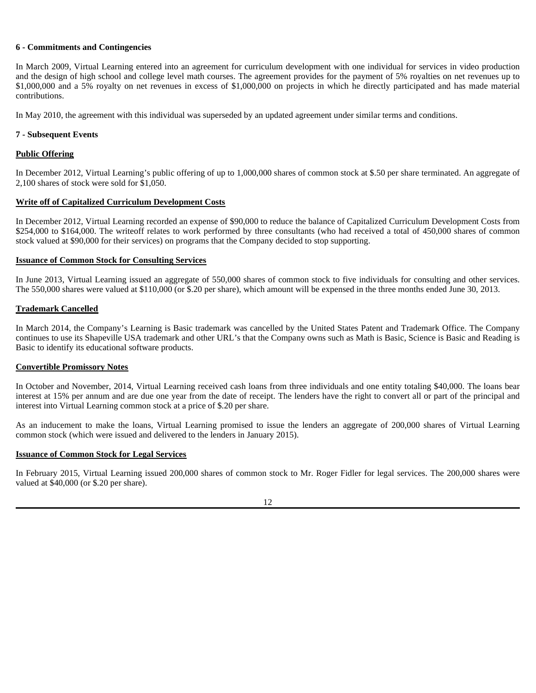#### **6 - Commitments and Contingencies**

In March 2009, Virtual Learning entered into an agreement for curriculum development with one individual for services in video production and the design of high school and college level math courses. The agreement provides for the payment of 5% royalties on net revenues up to \$1,000,000 and a 5% royalty on net revenues in excess of \$1,000,000 on projects in which he directly participated and has made material contributions.

In May 2010, the agreement with this individual was superseded by an updated agreement under similar terms and conditions.

## **7 - Subsequent Events**

## **Public Offering**

In December 2012, Virtual Learning's public offering of up to 1,000,000 shares of common stock at \$.50 per share terminated. An aggregate of 2,100 shares of stock were sold for \$1,050.

## **Write off of Capitalized Curriculum Development Costs**

In December 2012, Virtual Learning recorded an expense of \$90,000 to reduce the balance of Capitalized Curriculum Development Costs from \$254,000 to \$164,000. The writeoff relates to work performed by three consultants (who had received a total of 450,000 shares of common stock valued at \$90,000 for their services) on programs that the Company decided to stop supporting.

## **Issuance of Common Stock for Consulting Services**

In June 2013, Virtual Learning issued an aggregate of 550,000 shares of common stock to five individuals for consulting and other services. The 550,000 shares were valued at \$110,000 (or \$.20 per share), which amount will be expensed in the three months ended June 30, 2013.

#### **Trademark Cancelled**

In March 2014, the Company's Learning is Basic trademark was cancelled by the United States Patent and Trademark Office. The Company continues to use its Shapeville USA trademark and other URL's that the Company owns such as Math is Basic, Science is Basic and Reading is Basic to identify its educational software products.

#### **Convertible Promissory Notes**

In October and November, 2014, Virtual Learning received cash loans from three individuals and one entity totaling \$40,000. The loans bear interest at 15% per annum and are due one year from the date of receipt. The lenders have the right to convert all or part of the principal and interest into Virtual Learning common stock at a price of \$.20 per share.

As an inducement to make the loans, Virtual Learning promised to issue the lenders an aggregate of 200,000 shares of Virtual Learning common stock (which were issued and delivered to the lenders in January 2015).

#### **Issuance of Common Stock for Legal Services**

In February 2015, Virtual Learning issued 200,000 shares of common stock to Mr. Roger Fidler for legal services. The 200,000 shares were valued at \$40,000 (or \$.20 per share).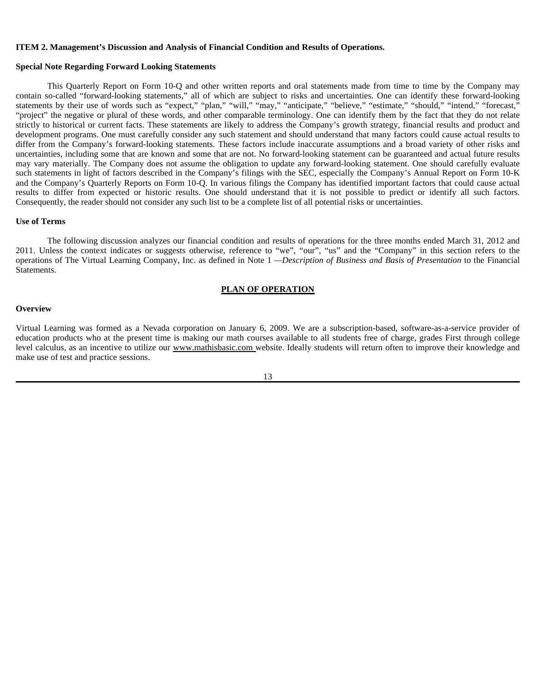#### **ITEM 2. Management's Discussion and Analysis of Financial Condition and Results of Operations.**

#### **Special Note Regarding Forward Looking Statements**

This Quarterly Report on Form 10-Q and other written reports and oral statements made from time to time by the Company may contain so-called "forward-looking statements," all of which are subject to risks and uncertainties. One can identify these forward-looking statements by their use of words such as "expect," "plan," "will," "may," "anticipate," "believe," "estimate," "should," "intend," "forecast," "project" the negative or plural of these words, and other comparable terminology. One can identify them by the fact that they do not relate strictly to historical or current facts. These statements are likely to address the Company's growth strategy, financial results and product and development programs. One must carefully consider any such statement and should understand that many factors could cause actual results to differ from the Company's forward-looking statements. These factors include inaccurate assumptions and a broad variety of other risks and uncertainties, including some that are known and some that are not. No forward-looking statement can be guaranteed and actual future results may vary materially. The Company does not assume the obligation to update any forward-looking statement. One should carefully evaluate such statements in light of factors described in the Company's filings with the SEC, especially the Company's Annual Report on Form 10-K and the Company's Quarterly Reports on Form 10-Q. In various filings the Company has identified important factors that could cause actual results to differ from expected or historic results. One should understand that it is not possible to predict or identify all such factors. Consequently, the reader should not consider any such list to be a complete list of all potential risks or uncertainties.

#### **Use of Terms**

The following discussion analyzes our financial condition and results of operations for the three months ended March 31, 2012 and 2011. Unless the context indicates or suggests otherwise, reference to "we", "our", "us" and the "Company" in this section refers to the operations of The Virtual Learning Company, Inc. as defined in Note 1 *—Description of Business and Basis of Presentation* to the Financial Statements.

## **PLAN OF OPERATION**

#### **Overview**

Virtual Learning was formed as a Nevada corporation on January 6, 2009. We are a subscription-based, software-as-a-service provider of education products who at the present time is making our math courses available to all students free of charge, grades First through college level calculus, as an incentive to utilize our www.mathisbasic.com website. Ideally students will return often to improve their knowledge and make use of test and practice sessions.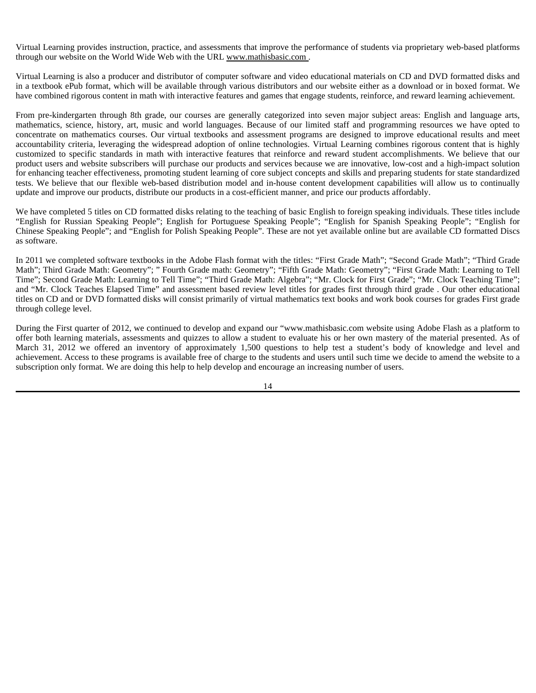Virtual Learning provides instruction, practice, and assessments that improve the performance of students via proprietary web-based platforms through our website on the World Wide Web with the URL www.mathisbasic.com .

Virtual Learning is also a producer and distributor of computer software and video educational materials on CD and DVD formatted disks and in a textbook ePub format, which will be available through various distributors and our website either as a download or in boxed format. We have combined rigorous content in math with interactive features and games that engage students, reinforce, and reward learning achievement.

From pre-kindergarten through 8th grade, our courses are generally categorized into seven major subject areas: English and language arts, mathematics, science, history, art, music and world languages. Because of our limited staff and programming resources we have opted to concentrate on mathematics courses. Our virtual textbooks and assessment programs are designed to improve educational results and meet accountability criteria, leveraging the widespread adoption of online technologies. Virtual Learning combines rigorous content that is highly customized to specific standards in math with interactive features that reinforce and reward student accomplishments. We believe that our product users and website subscribers will purchase our products and services because we are innovative, low-cost and a high-impact solution for enhancing teacher effectiveness, promoting student learning of core subject concepts and skills and preparing students for state standardized tests. We believe that our flexible web-based distribution model and in-house content development capabilities will allow us to continually update and improve our products, distribute our products in a cost-efficient manner, and price our products affordably.

We have completed 5 titles on CD formatted disks relating to the teaching of basic English to foreign speaking individuals. These titles include "English for Russian Speaking People"; English for Portuguese Speaking People"; "English for Spanish Speaking People"; "English for Chinese Speaking People"; and "English for Polish Speaking People". These are not yet available online but are available CD formatted Discs as software.

In 2011 we completed software textbooks in the Adobe Flash format with the titles: "First Grade Math"; "Second Grade Math"; "Third Grade Math"; Third Grade Math: Geometry"; " Fourth Grade math: Geometry"; "Fifth Grade Math: Geometry"; "First Grade Math: Learning to Tell Time"; Second Grade Math: Learning to Tell Time"; "Third Grade Math: Algebra"; "Mr. Clock for First Grade"; "Mr. Clock Teaching Time"; and "Mr. Clock Teaches Elapsed Time" and assessment based review level titles for grades first through third grade . Our other educational titles on CD and or DVD formatted disks will consist primarily of virtual mathematics text books and work book courses for grades First grade through college level.

During the First quarter of 2012, we continued to develop and expand our "www.mathisbasic.com website using Adobe Flash as a platform to offer both learning materials, assessments and quizzes to allow a student to evaluate his or her own mastery of the material presented. As of March 31, 2012 we offered an inventory of approximately 1,500 questions to help test a student's body of knowledge and level and achievement. Access to these programs is available free of charge to the students and users until such time we decide to amend the website to a subscription only format. We are doing this help to help develop and encourage an increasing number of users.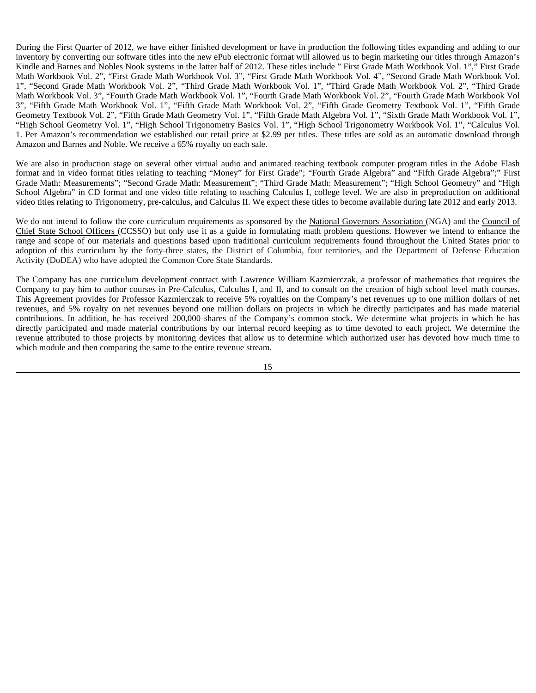During the First Quarter of 2012, we have either finished development or have in production the following titles expanding and adding to our inventory by converting our software titles into the new ePub electronic format will allowed us to begin marketing our titles through Amazon's Kindle and Barnes and Nobles Nook systems in the latter half of 2012. These titles include " First Grade Math Workbook Vol. 1"," First Grade Math Workbook Vol. 2", "First Grade Math Workbook Vol. 3", "First Grade Math Workbook Vol. 4", "Second Grade Math Workbook Vol. 1", "Second Grade Math Workbook Vol. 2", "Third Grade Math Workbook Vol. 1", "Third Grade Math Workbook Vol. 2", "Third Grade Math Workbook Vol. 3", "Fourth Grade Math Workbook Vol. 1", "Fourth Grade Math Workbook Vol. 2", "Fourth Grade Math Workbook Vol 3", "Fifth Grade Math Workbook Vol. 1", "Fifth Grade Math Workbook Vol. 2", "Fifth Grade Geometry Textbook Vol. 1", "Fifth Grade Geometry Textbook Vol. 2", "Fifth Grade Math Geometry Vol. 1", "Fifth Grade Math Algebra Vol. 1", "Sixth Grade Math Workbook Vol. 1", "High School Geometry Vol. 1", "High School Trigonometry Basics Vol. 1", "High School Trigonometry Workbook Vol. 1", "Calculus Vol. 1. Per Amazon's recommendation we established our retail price at \$2.99 per titles. These titles are sold as an automatic download through Amazon and Barnes and Noble. We receive a 65% royalty on each sale.

We are also in production stage on several other virtual audio and animated teaching textbook computer program titles in the Adobe Flash format and in video format titles relating to teaching "Money" for First Grade"; "Fourth Grade Algebra" and "Fifth Grade Algebra";" First Grade Math: Measurements"; "Second Grade Math: Measurement"; "Third Grade Math: Measurement"; "High School Geometry" and "High School Algebra" in CD format and one video title relating to teaching Calculus I, college level. We are also in preproduction on additional video titles relating to Trigonometry, pre-calculus, and Calculus II. We expect these titles to become available during late 2012 and early 2013.

We do not intend to follow the core curriculum requirements as sponsored by the National Governors Association (NGA) and the Council of Chief State School Officers (CCSSO) but only use it as a guide in formulating math problem questions. However we intend to enhance the range and scope of our materials and questions based upon traditional curriculum requirements found throughout the United States prior to adoption of this curriculum by the forty-three states, the District of Columbia, four territories, and the Department of Defense Education Activity (DoDEA) who have adopted the Common Core State Standards.

The Company has one curriculum development contract with Lawrence William Kazmierczak, a professor of mathematics that requires the Company to pay him to author courses in Pre-Calculus, Calculus I, and II, and to consult on the creation of high school level math courses. This Agreement provides for Professor Kazmierczak to receive 5% royalties on the Company's net revenues up to one million dollars of net revenues, and 5% royalty on net revenues beyond one million dollars on projects in which he directly participates and has made material contributions. In addition, he has received 200,000 shares of the Company's common stock. We determine what projects in which he has directly participated and made material contributions by our internal record keeping as to time devoted to each project. We determine the revenue attributed to those projects by monitoring devices that allow us to determine which authorized user has devoted how much time to which module and then comparing the same to the entire revenue stream.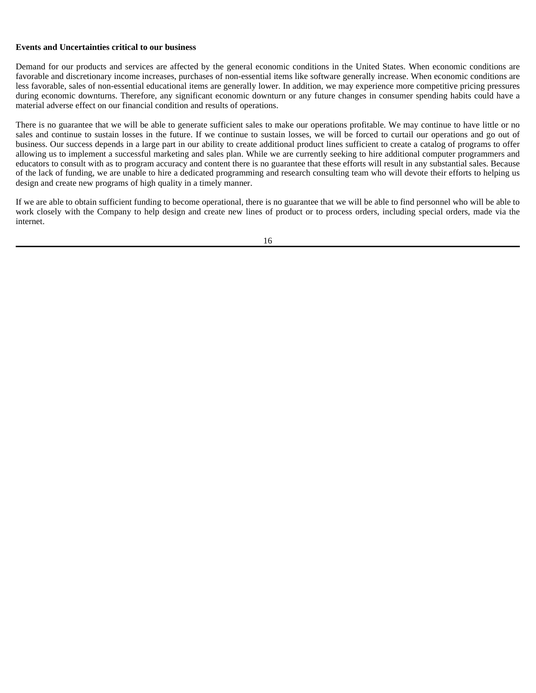#### **Events and Uncertainties critical to our business**

Demand for our products and services are affected by the general economic conditions in the United States. When economic conditions are favorable and discretionary income increases, purchases of non-essential items like software generally increase. When economic conditions are less favorable, sales of non-essential educational items are generally lower. In addition, we may experience more competitive pricing pressures during economic downturns. Therefore, any significant economic downturn or any future changes in consumer spending habits could have a material adverse effect on our financial condition and results of operations.

There is no guarantee that we will be able to generate sufficient sales to make our operations profitable. We may continue to have little or no sales and continue to sustain losses in the future. If we continue to sustain losses, we will be forced to curtail our operations and go out of business. Our success depends in a large part in our ability to create additional product lines sufficient to create a catalog of programs to offer allowing us to implement a successful marketing and sales plan. While we are currently seeking to hire additional computer programmers and educators to consult with as to program accuracy and content there is no guarantee that these efforts will result in any substantial sales. Because of the lack of funding, we are unable to hire a dedicated programming and research consulting team who will devote their efforts to helping us design and create new programs of high quality in a timely manner.

If we are able to obtain sufficient funding to become operational, there is no guarantee that we will be able to find personnel who will be able to work closely with the Company to help design and create new lines of product or to process orders, including special orders, made via the internet.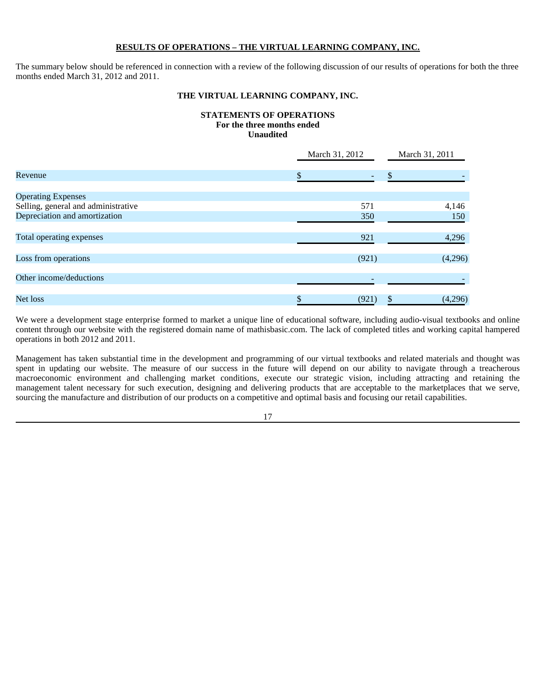## **RESULTS OF OPERATIONS – THE VIRTUAL LEARNING COMPANY, INC.**

The summary below should be referenced in connection with a review of the following discussion of our results of operations for both the three months ended March 31, 2012 and 2011.

## **THE VIRTUAL LEARNING COMPANY, INC.**

## **STATEMENTS OF OPERATIONS For the three months ended Unaudited**

|                                     | March 31, 2012 | March 31, 2011 |  |
|-------------------------------------|----------------|----------------|--|
| Revenue                             |                | S.             |  |
| <b>Operating Expenses</b>           |                |                |  |
| Selling, general and administrative | 571            | 4,146          |  |
| Depreciation and amortization       | 350            | 150            |  |
|                                     |                |                |  |
| Total operating expenses            | 921            | 4,296          |  |
|                                     |                |                |  |
| Loss from operations                | (921)          | (4,296)        |  |
| Other income/deductions             |                |                |  |
|                                     |                |                |  |
| Net loss                            | (921)          | (4,296)<br>\$  |  |

We were a development stage enterprise formed to market a unique line of educational software, including audio-visual textbooks and online content through our website with the registered domain name of mathisbasic.com. The lack of completed titles and working capital hampered operations in both 2012 and 2011.

Management has taken substantial time in the development and programming of our virtual textbooks and related materials and thought was spent in updating our website. The measure of our success in the future will depend on our ability to navigate through a treacherous macroeconomic environment and challenging market conditions, execute our strategic vision, including attracting and retaining the management talent necessary for such execution, designing and delivering products that are acceptable to the marketplaces that we serve, sourcing the manufacture and distribution of our products on a competitive and optimal basis and focusing our retail capabilities.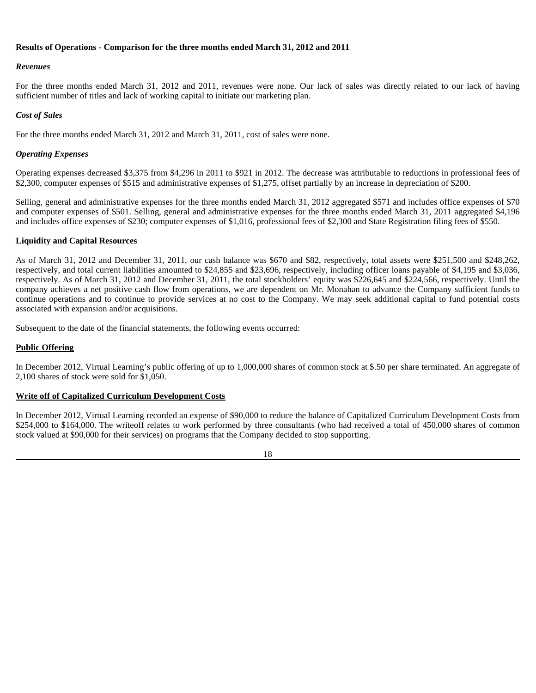## **Results of Operations - Comparison for the three months ended March 31, 2012 and 2011**

## *Revenues*

For the three months ended March 31, 2012 and 2011, revenues were none. Our lack of sales was directly related to our lack of having sufficient number of titles and lack of working capital to initiate our marketing plan.

## *Cost of Sales*

For the three months ended March 31, 2012 and March 31, 2011, cost of sales were none.

## *Operating Expenses*

Operating expenses decreased \$3,375 from \$4,296 in 2011 to \$921 in 2012. The decrease was attributable to reductions in professional fees of \$2,300, computer expenses of \$515 and administrative expenses of \$1,275, offset partially by an increase in depreciation of \$200.

Selling, general and administrative expenses for the three months ended March 31, 2012 aggregated \$571 and includes office expenses of \$70 and computer expenses of \$501. Selling, general and administrative expenses for the three months ended March 31, 2011 aggregated \$4,196 and includes office expenses of \$230; computer expenses of \$1,016, professional fees of \$2,300 and State Registration filing fees of \$550.

## **Liquidity and Capital Resources**

As of March 31, 2012 and December 31, 2011, our cash balance was \$670 and \$82, respectively, total assets were \$251,500 and \$248,262, respectively, and total current liabilities amounted to \$24,855 and \$23,696, respectively, including officer loans payable of \$4,195 and \$3,036, respectively. As of March 31, 2012 and December 31, 2011, the total stockholders' equity was \$226,645 and \$224,566, respectively. Until the company achieves a net positive cash flow from operations, we are dependent on Mr. Monahan to advance the Company sufficient funds to continue operations and to continue to provide services at no cost to the Company. We may seek additional capital to fund potential costs associated with expansion and/or acquisitions.

Subsequent to the date of the financial statements, the following events occurred:

## **Public Offering**

In December 2012, Virtual Learning's public offering of up to 1,000,000 shares of common stock at \$.50 per share terminated. An aggregate of 2,100 shares of stock were sold for \$1,050.

## **Write off of Capitalized Curriculum Development Costs**

In December 2012, Virtual Learning recorded an expense of \$90,000 to reduce the balance of Capitalized Curriculum Development Costs from \$254,000 to \$164,000. The writeoff relates to work performed by three consultants (who had received a total of 450,000 shares of common stock valued at \$90,000 for their services) on programs that the Company decided to stop supporting.

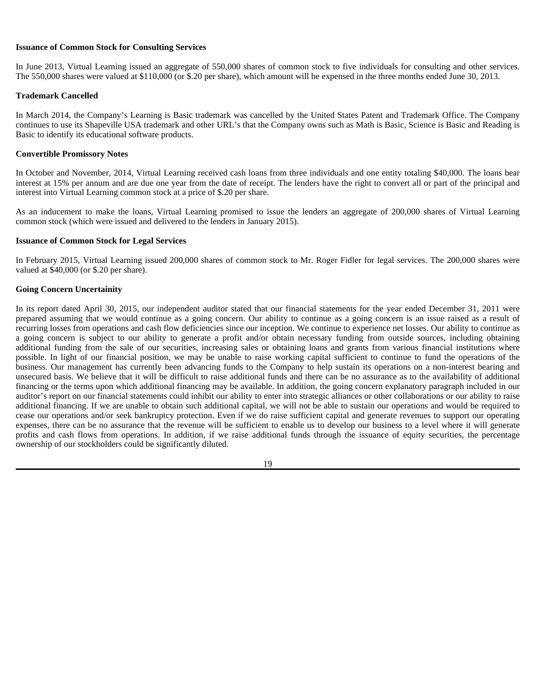#### **Issuance of Common Stock for Consulting Services**

In June 2013, Virtual Learning issued an aggregate of 550,000 shares of common stock to five individuals for consulting and other services. The 550,000 shares were valued at \$110,000 (or \$.20 per share), which amount will be expensed in the three months ended June 30, 2013.

#### **Trademark Cancelled**

In March 2014, the Company's Learning is Basic trademark was cancelled by the United States Patent and Trademark Office. The Company continues to use its Shapeville USA trademark and other URL's that the Company owns such as Math is Basic, Science is Basic and Reading is Basic to identify its educational software products.

#### **Convertible Promissory Notes**

In October and November, 2014, Virtual Learning received cash loans from three individuals and one entity totaling \$40,000. The loans bear interest at 15% per annum and are due one year from the date of receipt. The lenders have the right to convert all or part of the principal and interest into Virtual Learning common stock at a price of \$.20 per share.

As an inducement to make the loans, Virtual Learning promised to issue the lenders an aggregate of 200,000 shares of Virtual Learning common stock (which were issued and delivered to the lenders in January 2015).

## **Issuance of Common Stock for Legal Services**

In February 2015, Virtual Learning issued 200,000 shares of common stock to Mr. Roger Fidler for legal services. The 200,000 shares were valued at \$40,000 (or \$.20 per share).

## **Going Concern Uncertainity**

In its report dated April 30, 2015, our independent auditor stated that our financial statements for the year ended December 31, 2011 were prepared assuming that we would continue as a going concern. Our ability to continue as a going concern is an issue raised as a result of recurring losses from operations and cash flow deficiencies since our inception. We continue to experience net losses. Our ability to continue as a going concern is subject to our ability to generate a profit and/or obtain necessary funding from outside sources, including obtaining additional funding from the sale of our securities, increasing sales or obtaining loans and grants from various financial institutions where possible. In light of our financial position, we may be unable to raise working capital sufficient to continue to fund the operations of the business. Our management has currently been advancing funds to the Company to help sustain its operations on a non-interest bearing and unsecured basis. We believe that it will be difficult to raise additional funds and there can be no assurance as to the availability of additional financing or the terms upon which additional financing may be available. In addition, the going concern explanatory paragraph included in our auditor's report on our financial statements could inhibit our ability to enter into strategic alliances or other collaborations or our ability to raise additional financing. If we are unable to obtain such additional capital, we will not be able to sustain our operations and would be required to cease our operations and/or seek bankruptcy protection. Even if we do raise sufficient capital and generate revenues to support our operating expenses, there can be no assurance that the revenue will be sufficient to enable us to develop our business to a level where it will generate profits and cash flows from operations. In addition, if we raise additional funds through the issuance of equity securities, the percentage ownership of our stockholders could be significantly diluted.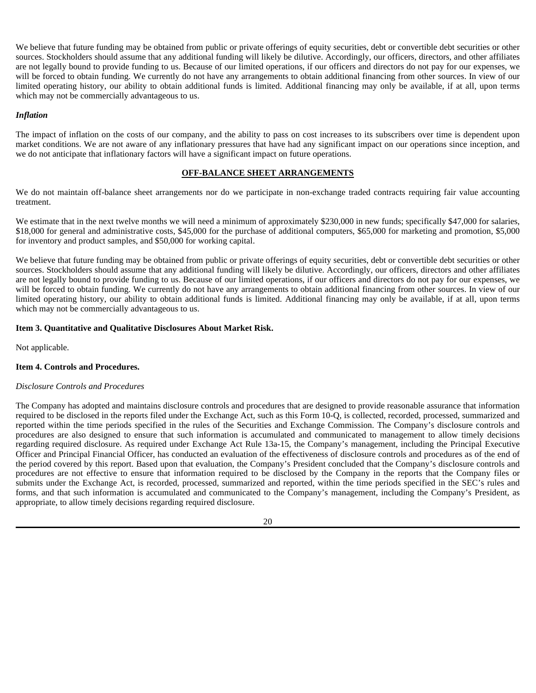We believe that future funding may be obtained from public or private offerings of equity securities, debt or convertible debt securities or other sources. Stockholders should assume that any additional funding will likely be dilutive. Accordingly, our officers, directors, and other affiliates are not legally bound to provide funding to us. Because of our limited operations, if our officers and directors do not pay for our expenses, we will be forced to obtain funding. We currently do not have any arrangements to obtain additional financing from other sources. In view of our limited operating history, our ability to obtain additional funds is limited. Additional financing may only be available, if at all, upon terms which may not be commercially advantageous to us.

## *Inflation*

The impact of inflation on the costs of our company, and the ability to pass on cost increases to its subscribers over time is dependent upon market conditions. We are not aware of any inflationary pressures that have had any significant impact on our operations since inception, and we do not anticipate that inflationary factors will have a significant impact on future operations.

## **OFF-BALANCE SHEET ARRANGEMENTS**

We do not maintain off-balance sheet arrangements nor do we participate in non-exchange traded contracts requiring fair value accounting treatment.

We estimate that in the next twelve months we will need a minimum of approximately \$230,000 in new funds; specifically \$47,000 for salaries, \$18,000 for general and administrative costs, \$45,000 for the purchase of additional computers, \$65,000 for marketing and promotion, \$5,000 for inventory and product samples, and \$50,000 for working capital.

We believe that future funding may be obtained from public or private offerings of equity securities, debt or convertible debt securities or other sources. Stockholders should assume that any additional funding will likely be dilutive. Accordingly, our officers, directors and other affiliates are not legally bound to provide funding to us. Because of our limited operations, if our officers and directors do not pay for our expenses, we will be forced to obtain funding. We currently do not have any arrangements to obtain additional financing from other sources. In view of our limited operating history, our ability to obtain additional funds is limited. Additional financing may only be available, if at all, upon terms which may not be commercially advantageous to us.

#### **Item 3. Quantitative and Qualitative Disclosures About Market Risk.**

Not applicable.

#### **Item 4. Controls and Procedures.**

#### *Disclosure Controls and Procedures*

The Company has adopted and maintains disclosure controls and procedures that are designed to provide reasonable assurance that information required to be disclosed in the reports filed under the Exchange Act, such as this Form 10-Q, is collected, recorded, processed, summarized and reported within the time periods specified in the rules of the Securities and Exchange Commission. The Company's disclosure controls and procedures are also designed to ensure that such information is accumulated and communicated to management to allow timely decisions regarding required disclosure. As required under Exchange Act Rule 13a-15, the Company's management, including the Principal Executive Officer and Principal Financial Officer, has conducted an evaluation of the effectiveness of disclosure controls and procedures as of the end of the period covered by this report. Based upon that evaluation, the Company's President concluded that the Company's disclosure controls and procedures are not effective to ensure that information required to be disclosed by the Company in the reports that the Company files or submits under the Exchange Act, is recorded, processed, summarized and reported, within the time periods specified in the SEC's rules and forms, and that such information is accumulated and communicated to the Company's management, including the Company's President, as appropriate, to allow timely decisions regarding required disclosure.

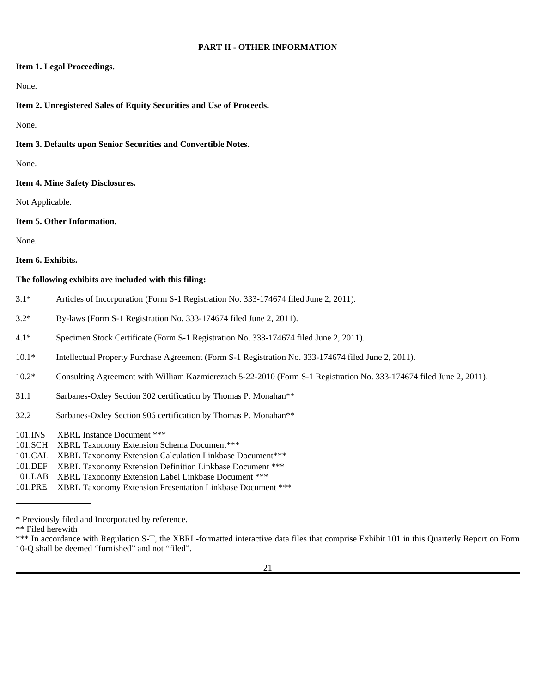#### **PART II - OTHER INFORMATION**

## **Item 1. Legal Proceedings.**

## None.

## **Item 2. Unregistered Sales of Equity Securities and Use of Proceeds.**

None.

**Item 3. Defaults upon Senior Securities and Convertible Notes.** 

None.

**Item 4. Mine Safety Disclosures.** 

Not Applicable.

**Item 5. Other Information.** 

None.

#### **Item 6. Exhibits.**

## **The following exhibits are included with this filing:**

- 3.1\* Articles of Incorporation (Form S-1 Registration No. 333-174674 filed June 2, 2011).
- 3.2\* By-laws (Form S-1 Registration No. 333-174674 filed June 2, 2011).
- 4.1\* Specimen Stock Certificate (Form S-1 Registration No. 333-174674 filed June 2, 2011).
- 10.1\* Intellectual Property Purchase Agreement (Form S-1 Registration No. 333-174674 filed June 2, 2011).
- 10.2\* Consulting Agreement with William Kazmierczach 5-22-2010 (Form S-1 Registration No. 333-174674 filed June 2, 2011).
- 31.1 Sarbanes-Oxley Section 302 certification by Thomas P. Monahan\*\*
- 32.2 Sarbanes-Oxley Section 906 certification by Thomas P. Monahan\*\*

101.INS XBRL Instance Document \*\*\*

- 101.SCH XBRL Taxonomy Extension Schema Document\*\*\*
- 101.CAL XBRL Taxonomy Extension Calculation Linkbase Document\*\*\*
- 101.DEF XBRL Taxonomy Extension Definition Linkbase Document \*\*\*
- 101.LAB XBRL Taxonomy Extension Label Linkbase Document \*\*\*
- 101.PRE XBRL Taxonomy Extension Presentation Linkbase Document \*\*\*

<sup>\*</sup> Previously filed and Incorporated by reference.

<sup>\*\*</sup> Filed herewith

<sup>\*\*\*</sup> In accordance with Regulation S-T, the XBRL-formatted interactive data files that comprise Exhibit 101 in this Quarterly Report on Form 10-Q shall be deemed "furnished" and not "filed".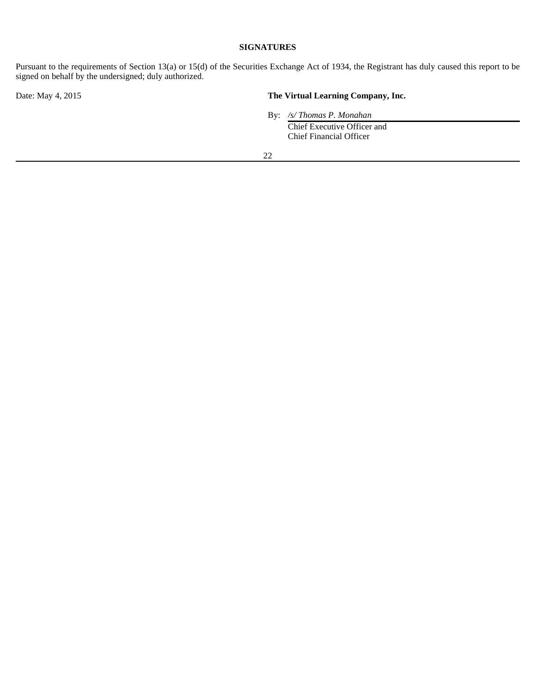## **SIGNATURES**

Pursuant to the requirements of Section 13(a) or 15(d) of the Securities Exchange Act of 1934, the Registrant has duly caused this report to be signed on behalf by the undersigned; duly authorized.

## Date: May 4, 2015 **The Virtual Learning Company, Inc.**

 By: */s/ Thomas P. Monahan*  Chief Executive Officer and Chief Financial Officer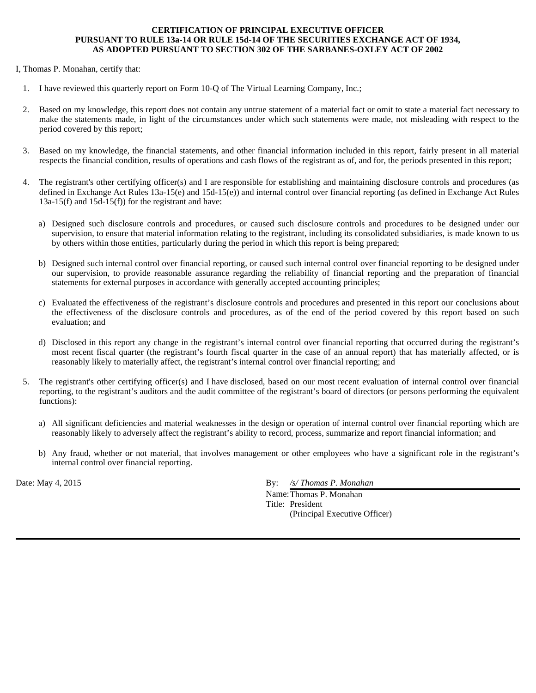## **CERTIFICATION OF PRINCIPAL EXECUTIVE OFFICER PURSUANT TO RULE 13a-14 OR RULE 15d-14 OF THE SECURITIES EXCHANGE ACT OF 1934, AS ADOPTED PURSUANT TO SECTION 302 OF THE SARBANES-OXLEY ACT OF 2002**

## I, Thomas P. Monahan, certify that:

- 1. I have reviewed this quarterly report on Form 10-Q of The Virtual Learning Company, Inc.;
- 2. Based on my knowledge, this report does not contain any untrue statement of a material fact or omit to state a material fact necessary to make the statements made, in light of the circumstances under which such statements were made, not misleading with respect to the period covered by this report;
- 3. Based on my knowledge, the financial statements, and other financial information included in this report, fairly present in all material respects the financial condition, results of operations and cash flows of the registrant as of, and for, the periods presented in this report;
- 4. The registrant's other certifying officer(s) and I are responsible for establishing and maintaining disclosure controls and procedures (as defined in Exchange Act Rules 13a-15(e) and 15d-15(e)) and internal control over financial reporting (as defined in Exchange Act Rules 13a-15(f) and 15d-15(f)) for the registrant and have:
	- a) Designed such disclosure controls and procedures, or caused such disclosure controls and procedures to be designed under our supervision, to ensure that material information relating to the registrant, including its consolidated subsidiaries, is made known to us by others within those entities, particularly during the period in which this report is being prepared;
	- b) Designed such internal control over financial reporting, or caused such internal control over financial reporting to be designed under our supervision, to provide reasonable assurance regarding the reliability of financial reporting and the preparation of financial statements for external purposes in accordance with generally accepted accounting principles;
	- c) Evaluated the effectiveness of the registrant's disclosure controls and procedures and presented in this report our conclusions about the effectiveness of the disclosure controls and procedures, as of the end of the period covered by this report based on such evaluation; and
	- d) Disclosed in this report any change in the registrant's internal control over financial reporting that occurred during the registrant's most recent fiscal quarter (the registrant's fourth fiscal quarter in the case of an annual report) that has materially affected, or is reasonably likely to materially affect, the registrant's internal control over financial reporting; and
- 5. The registrant's other certifying officer(s) and I have disclosed, based on our most recent evaluation of internal control over financial reporting, to the registrant's auditors and the audit committee of the registrant's board of directors (or persons performing the equivalent functions):
	- a) All significant deficiencies and material weaknesses in the design or operation of internal control over financial reporting which are reasonably likely to adversely affect the registrant's ability to record, process, summarize and report financial information; and
	- b) Any fraud, whether or not material, that involves management or other employees who have a significant role in the registrant's internal control over financial reporting.

Date: May 4, 2015 By: */s/ Thomas P. Monahan* 

 Name: Thomas P. Monahan Title: President (Principal Executive Officer)